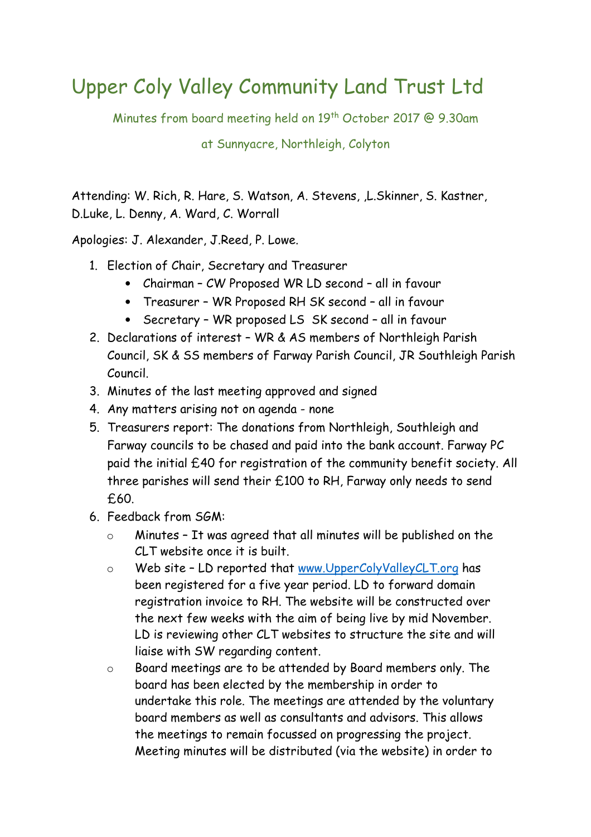## Upper Coly Valley Community Land Trust Ltd

Minutes from board meeting held on 19th October 2017 @ 9.30am

at Sunnyacre, Northleigh, Colyton

Attending: W. Rich, R. Hare, S. Watson, A. Stevens, ,L.Skinner, S. Kastner, D.Luke, L. Denny, A. Ward, C. Worrall

Apologies: J. Alexander, J.Reed, P. Lowe.

- 1. Election of Chair, Secretary and Treasurer
	- Chairman CW Proposed WR LD second all in favour
	- Treasurer WR Proposed RH SK second all in favour
	- Secretary WR proposed LS SK second all in favour
- 2. Declarations of interest WR & AS members of Northleigh Parish Council, SK & SS members of Farway Parish Council, JR Southleigh Parish Council.
- 3. Minutes of the last meeting approved and signed
- 4. Any matters arising not on agenda none
- 5. Treasurers report: The donations from Northleigh, Southleigh and Farway councils to be chased and paid into the bank account. Farway PC paid the initial £40 for registration of the community benefit society. All three parishes will send their £100 to RH, Farway only needs to send £60.
- 6. Feedback from SGM:
	- o Minutes It was agreed that all minutes will be published on the CLT website once it is built.
	- o Web site LD reported that www.UpperColyValleyCLT.org has been registered for a five year period. LD to forward domain registration invoice to RH. The website will be constructed over the next few weeks with the aim of being live by mid November. LD is reviewing other CLT websites to structure the site and will liaise with SW regarding content.
	- o Board meetings are to be attended by Board members only. The board has been elected by the membership in order to undertake this role. The meetings are attended by the voluntary board members as well as consultants and advisors. This allows the meetings to remain focussed on progressing the project. Meeting minutes will be distributed (via the website) in order to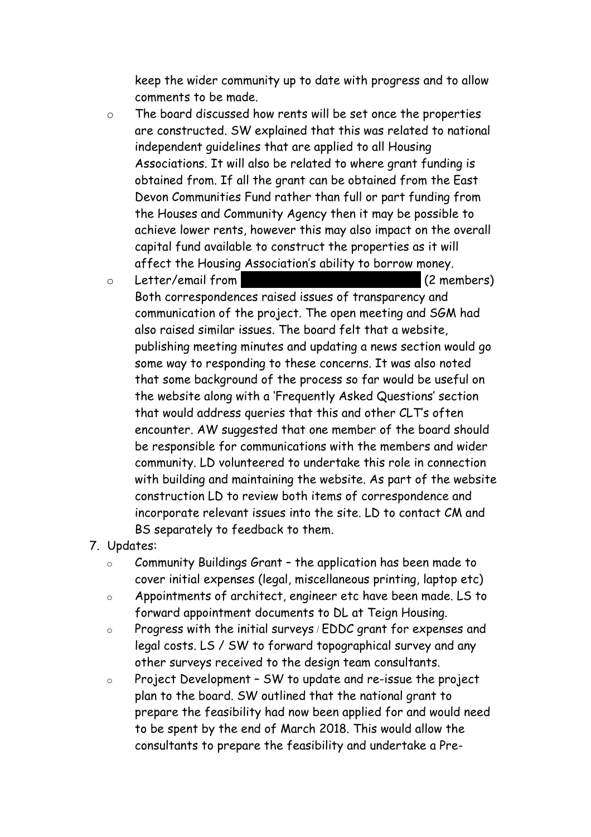keep the wider community up to date with progress and to allow comments to be made.

o The board discussed how rents will be set once the properties are constructed. SW explained that this was related to national independent guidelines that are applied to all Housing Associations. It will also be related to where grant funding is obtained from. If all the grant can be obtained from the East Devon Communities Fund rather than full or part funding from the Houses and Community Agency then it may be possible to achieve lower rents, however this may also impact on the overall capital fund available to construct the properties as it will affect the Housing Association's ability to borrow money.

o Letter/email from Clare Matthews (2 members)

Both correspondences raised issues of transparency and communication of the project. The open meeting and SGM had also raised similar issues. The board felt that a website, publishing meeting minutes and updating a news section would go some way to responding to these concerns. It was also noted that some background of the process so far would be useful on the website along with a 'Frequently Asked Questions' section that would address queries that this and other CLT's often encounter. AW suggested that one member of the board should be responsible for communications with the members and wider community. LD volunteered to undertake this role in connection with building and maintaining the website. As part of the website construction LD to review both items of correspondence and incorporate relevant issues into the site. LD to contact CM and BS separately to feedback to them.

- 7. Updates:
	- o Community Buildings Grant the application has been made to cover initial expenses (legal, miscellaneous printing, laptop etc)
	- o Appointments of architect, engineer etc have been made. LS to forward appointment documents to DL at Teign Housing.
	- o Progress with the initial surveys **/** EDDC grant for expenses and legal costs. LS / SW to forward topographical survey and any other surveys received to the design team consultants.
	- o Project Development SW to update and re-issue the project plan to the board. SW outlined that the national grant to prepare the feasibility had now been applied for and would need to be spent by the end of March 2018. This would allow the consultants to prepare the feasibility and undertake a Pre-